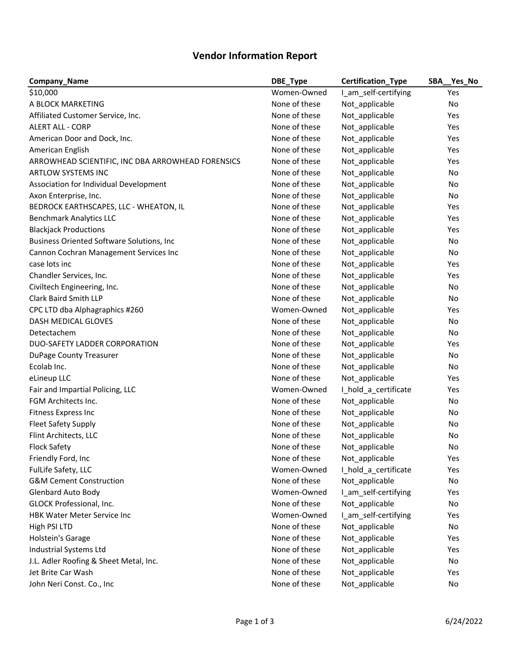## **Vendor Information Report**

| <b>Company_Name</b>                               | DBE_Type      | <b>Certification_Type</b> | SBA Yes No |
|---------------------------------------------------|---------------|---------------------------|------------|
| \$10,000                                          | Women-Owned   | I_am_self-certifying      | Yes        |
| A BLOCK MARKETING                                 | None of these | Not_applicable            | No         |
| Affiliated Customer Service, Inc.                 | None of these | Not_applicable            | Yes        |
| <b>ALERT ALL - CORP</b>                           | None of these | Not_applicable            | Yes        |
| American Door and Dock, Inc.                      | None of these | Not_applicable            | Yes        |
| American English                                  | None of these | Not_applicable            | Yes        |
| ARROWHEAD SCIENTIFIC, INC DBA ARROWHEAD FORENSICS | None of these | Not_applicable            | Yes        |
| ARTLOW SYSTEMS INC                                | None of these | Not_applicable            | No         |
| Association for Individual Development            | None of these | Not_applicable            | No         |
| Axon Enterprise, Inc.                             | None of these | Not_applicable            | No         |
| BEDROCK EARTHSCAPES, LLC - WHEATON, IL            | None of these | Not_applicable            | Yes        |
| <b>Benchmark Analytics LLC</b>                    | None of these | Not_applicable            | Yes        |
| <b>Blackjack Productions</b>                      | None of these | Not_applicable            | Yes        |
| <b>Business Oriented Software Solutions, Inc.</b> | None of these | Not_applicable            | No         |
| Cannon Cochran Management Services Inc            | None of these | Not_applicable            | No         |
| case lots inc                                     | None of these | Not_applicable            | Yes        |
| Chandler Services, Inc.                           | None of these | Not_applicable            | Yes        |
| Civiltech Engineering, Inc.                       | None of these | Not_applicable            | No         |
| <b>Clark Baird Smith LLP</b>                      | None of these | Not_applicable            | No         |
| CPC LTD dba Alphagraphics #260                    | Women-Owned   | Not_applicable            | Yes        |
| <b>DASH MEDICAL GLOVES</b>                        | None of these | Not_applicable            | No         |
| Detectachem                                       | None of these | Not_applicable            | No         |
| DUO-SAFETY LADDER CORPORATION                     | None of these | Not_applicable            | Yes        |
| <b>DuPage County Treasurer</b>                    | None of these | Not_applicable            | No         |
| Ecolab Inc.                                       | None of these | Not_applicable            | No         |
| eLineup LLC                                       | None of these | Not_applicable            | Yes        |
| Fair and Impartial Policing, LLC                  | Women-Owned   | I_hold_a_certificate      | Yes        |
| FGM Architects Inc.                               | None of these | Not_applicable            | No         |
| Fitness Express Inc                               | None of these | Not_applicable            | No         |
| <b>Fleet Safety Supply</b>                        | None of these | Not_applicable            | No         |
| Flint Architects, LLC                             | None of these | Not_applicable            | No         |
| <b>Flock Safety</b>                               | None of these | Not_applicable            | No         |
| Friendly Ford, Inc                                | None of these | Not applicable            | Yes        |
| FulLife Safety, LLC                               | Women-Owned   | I_hold_a_certificate      | Yes        |
| <b>G&amp;M Cement Construction</b>                | None of these | Not applicable            | No         |
| <b>Glenbard Auto Body</b>                         | Women-Owned   | I_am_self-certifying      | Yes        |
| GLOCK Professional, Inc.                          | None of these | Not_applicable            | No         |
| <b>HBK Water Meter Service Inc</b>                | Women-Owned   | I_am_self-certifying      | Yes        |
| High PSI LTD                                      | None of these | Not_applicable            | No         |
| Holstein's Garage                                 | None of these | Not_applicable            | Yes        |
| Industrial Systems Ltd                            | None of these | Not_applicable            | Yes        |
| J.L. Adler Roofing & Sheet Metal, Inc.            | None of these | Not_applicable            | No         |
| Jet Brite Car Wash                                | None of these | Not_applicable            | Yes        |
| John Neri Const. Co., Inc                         | None of these | Not_applicable            | No         |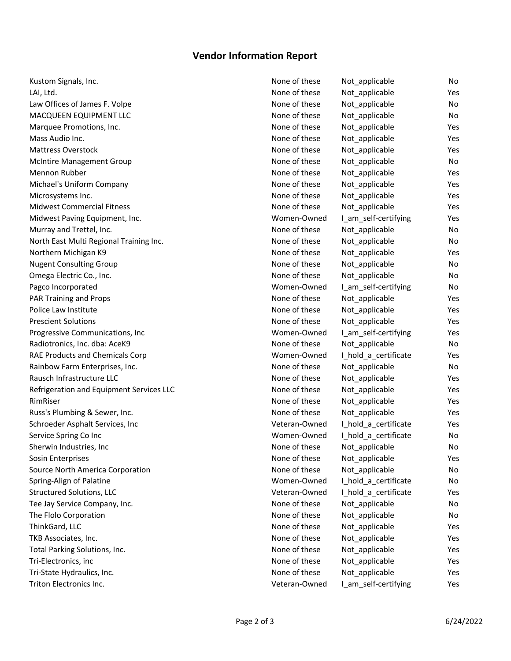## **Vendor Information Report**

| Kustom Signals, Inc.                     | None of these | Not_applicable       | No        |
|------------------------------------------|---------------|----------------------|-----------|
| LAI, Ltd.                                | None of these | Not_applicable       | Yes       |
| Law Offices of James F. Volpe            | None of these | Not applicable       | No        |
| MACQUEEN EQUIPMENT LLC                   | None of these | Not_applicable       | No        |
| Marquee Promotions, Inc.                 | None of these | Not_applicable       | Yes       |
| Mass Audio Inc.                          | None of these | Not_applicable       | Yes       |
| <b>Mattress Overstock</b>                | None of these | Not_applicable       | Yes       |
| <b>McIntire Management Group</b>         | None of these | Not_applicable       | <b>No</b> |
| Mennon Rubber                            | None of these | Not applicable       | Yes       |
| Michael's Uniform Company                | None of these | Not_applicable       | Yes       |
| Microsystems Inc.                        | None of these | Not applicable       | Yes       |
| <b>Midwest Commercial Fitness</b>        | None of these | Not_applicable       | Yes       |
| Midwest Paving Equipment, Inc.           | Women-Owned   | I_am_self-certifying | Yes       |
| Murray and Trettel, Inc.                 | None of these | Not_applicable       | No        |
| North East Multi Regional Training Inc.  | None of these | Not applicable       | <b>No</b> |
| Northern Michigan K9                     | None of these | Not_applicable       | Yes       |
| <b>Nugent Consulting Group</b>           | None of these | Not_applicable       | No        |
| Omega Electric Co., Inc.                 | None of these | Not_applicable       | <b>No</b> |
| Pagco Incorporated                       | Women-Owned   | I_am_self-certifying | No        |
| <b>PAR Training and Props</b>            | None of these | Not applicable       | Yes       |
| Police Law Institute                     | None of these | Not_applicable       | Yes       |
| <b>Prescient Solutions</b>               | None of these | Not_applicable       | Yes       |
| Progressive Communications, Inc          | Women-Owned   | I_am_self-certifying | Yes       |
| Radiotronics, Inc. dba: AceK9            | None of these | Not_applicable       | <b>No</b> |
| RAE Products and Chemicals Corp          | Women-Owned   | I_hold_a_certificate | Yes       |
| Rainbow Farm Enterprises, Inc.           | None of these | Not_applicable       | <b>No</b> |
| Rausch Infrastructure LLC                | None of these | Not_applicable       | Yes       |
| Refrigeration and Equipment Services LLC | None of these | Not_applicable       | Yes       |
| RimRiser                                 | None of these | Not_applicable       | Yes       |
| Russ's Plumbing & Sewer, Inc.            | None of these | Not_applicable       | Yes       |
| Schroeder Asphalt Services, Inc          | Veteran-Owned | I_hold_a_certificate | Yes       |
| Service Spring Co Inc                    | Women-Owned   | I_hold_a_certificate | No        |
| Sherwin Industries, Inc                  | None of these | Not_applicable       | No        |
| Sosin Enterprises                        | None of these | Not_applicable       | Yes       |
| Source North America Corporation         | None of these | Not_applicable       | No        |
| Spring-Align of Palatine                 | Women-Owned   | I_hold_a_certificate | No        |
| <b>Structured Solutions, LLC</b>         | Veteran-Owned | I hold a certificate | Yes       |
| Tee Jay Service Company, Inc.            | None of these | Not_applicable       | No        |
| The Flolo Corporation                    | None of these | Not_applicable       | No        |
| ThinkGard, LLC                           | None of these | Not_applicable       | Yes       |
| TKB Associates, Inc.                     | None of these | Not applicable       | Yes       |
| Total Parking Solutions, Inc.            | None of these | Not applicable       | Yes       |
| Tri-Electronics, inc                     | None of these | Not_applicable       | Yes       |
| Tri-State Hydraulics, Inc.               | None of these | Not_applicable       | Yes       |
| Triton Electronics Inc.                  | Veteran-Owned | I_am_self-certifying | Yes       |